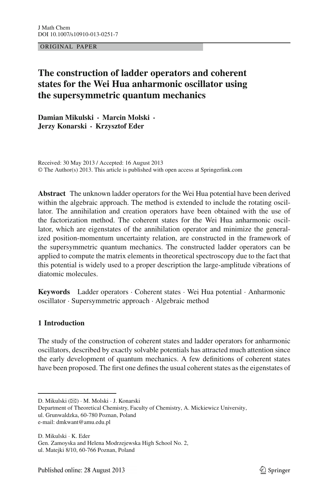## ORIGINAL PAPER

# **The construction of ladder operators and coherent states for the Wei Hua anharmonic oscillator using the supersymmetric quantum mechanics**

**Damian Mikulski · Marcin Molski · Jerzy Konarski · Krzysztof Eder**

Received: 30 May 2013 / Accepted: 16 August 2013 © The Author(s) 2013. This article is published with open access at Springerlink.com

**Abstract** The unknown ladder operators for the Wei Hua potential have been derived within the algebraic approach. The method is extended to include the rotating oscillator. The annihilation and creation operators have been obtained with the use of the factorization method. The coherent states for the Wei Hua anharmonic oscillator, which are eigenstates of the annihilation operator and minimize the generalized position-momentum uncertainty relation, are constructed in the framework of the supersymmetric quantum mechanics. The constructed ladder operators can be applied to compute the matrix elements in theoretical spectroscopy due to the fact that this potential is widely used to a proper description the large-amplitude vibrations of diatomic molecules.

**Keywords** Ladder operators · Coherent states · Wei Hua potential · Anharmonic oscillator · Supersymmetric approach · Algebraic method

## **1 Introduction**

The study of the construction of coherent states and ladder operators for anharmonic oscillators, described by exactly solvable potentials has attracted much attention since the early development of quantum mechanics. A few definitions of coherent states have been proposed. The first one defines the usual coherent states as the eigenstates of

D. Mikulski · K. Eder

Gen. Zamoyska and Helena Modrzejewska High School No. 2, ul. Matejki 8/10, 60-766 Poznan, Poland

D. Mikulski (B) · M. Molski · J. Konarski

Department of Theoretical Chemistry, Faculty of Chemistry, A. Mickiewicz University, ul. Grunwaldzka, 60-780 Poznan, Poland e-mail: dmkwant@amu.edu.pl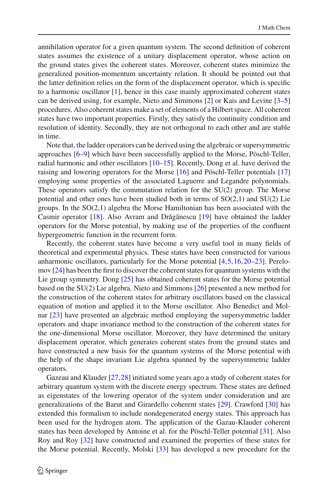annihilation operator for a given quantum system. The second definition of coherent states assumes the existence of a unitary displacement operator, whose action on the ground states gives the coherent states. Moreover, coherent states minimize the generalized position-momentum uncertainty relation. It should be pointed out that the latter definition relies on the form of the displacement operator, which is specific to a harmonic oscillator [\[1\]](#page-11-0), hence in this case mainly approximated coherent states can be derived using, for example, Nieto and Simmons [\[2\]](#page-11-1) or Kais and Levine [\[3](#page-11-2)[–5\]](#page-11-3) procedures. Also coherent states make a set of elements of a Hilbert space. All coherent states have two important properties. Firstly, they satisfy the continuity condition and resolution of identity. Secondly, they are not orthogonal to each other and are stable in time.

Note that, the ladder operators can be derived using the algebraic or supersymmetric approaches [\[6](#page-11-4)[–9\]](#page-11-5) which have been successfully applied to the Morse, Pöschl-Teller, radial harmonic and other oscillators [\[10](#page-11-6)[–15\]](#page-11-7). Recently, Dong et al. have derived the raising and lowering operators for the Morse [\[16](#page-11-8)] and Pöschl-Teller potentials [\[17\]](#page-11-9) employing some properties of the associated Laguerre and Legandre polynomials. These operators satisfy the commutation relation for the  $SU(2)$  group. The Morse potential and other ones have been studied both in terms of  $SO(2,1)$  and  $SU(2)$  Lie groups. In the SO(2,1) algebra the Morse Hamiltonian has been associated with the Casmir operator [\[18\]](#page-11-10). Also Avram and Drăgănescu [\[19](#page-11-11)] have obtained the ladder operators for the Morse potential, by making use of the properties of the confluent hypergeometric function in the recurrent form.

Recently, the coherent states have become a very useful tool in many fields of theoretical and experimental physics. These states have been constructed for various anharmonic oscillators, particularly for the Morse potential [\[4](#page-11-12)[,5](#page-11-3)[,16](#page-11-8),[20](#page-11-13)[–23](#page-11-14)]. Perelomov [\[24](#page-11-15)] has been the first to discover the coherent states for quantum systems with the Lie group symmetry. Dong [\[25](#page-11-16)] has obtained coherent states for the Morse potential based on the SU(2) Lie algebra. Nieto and Simmons [\[26\]](#page-11-17) presented a new method for the construction of the coherent states for arbitrary oscillators based on the classical equation of motion and applied it to the Morse oscillator. Also Benedict and Molnar [\[23\]](#page-11-14) have presented an algebraic method employing the supersymmetric ladder operators and shape invariance method to the construction of the coherent states for the one-dimensional Morse oscillator. Moreover, they have determined the unitary displacement operator, which generates coherent states from the ground states and have constructed a new basis for the quantum systems of the Morse potential with the help of the shape invariant Lie algebra spanned by the supersymmetric ladder operators.

Gazeau and Klauder [\[27](#page-11-18),[28](#page-11-19)] initiated some years ago a study of coherent states for arbitrary quantum system with the discrete energy spectrum. These states are defined as eigenstates of the lowering operator of the system under consideration and are generalizations of the Barut and Girardello coherent states [\[29\]](#page-11-20). Crawford [\[30](#page-11-21)] has extended this formalism to include nondegenerated energy states. This approach has been used for the hydrogen atom. The application of the Gazau-Klauder coherent states has been developed by Antoine et al. for the Pöschl-Teller potential [\[31\]](#page-11-22). Also Roy and Roy [\[32\]](#page-11-23) have constructed and examined the properties of these states for the Morse potential. Recently, Molski [\[33](#page-11-24)] has developed a new procedure for the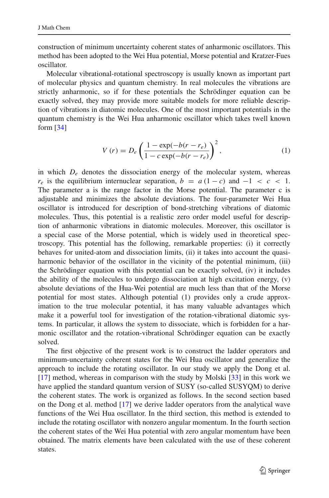construction of minimum uncertainty coherent states of anharmonic oscillators. This method has been adopted to the Wei Hua potential, Morse potential and Kratzer-Fues oscillator.

Molecular vibrational-rotational spectroscopy is usually known as important part of molecular physics and quantum chemistry. In real molecules the vibrations are strictly anharmonic, so if for these potentials the Schrödinger equation can be exactly solved, they may provide more suitable models for more reliable description of vibrations in diatomic molecules. One of the most important potentials in the quantum chemistry is the Wei Hua anharmonic oscillator which takes twell known form  $[34]$ 

$$
V(r) = D_e \left( \frac{1 - \exp(-b(r - r_e))}{1 - c \exp(-b(r - r_e))} \right)^2,
$$
\n(1)

<span id="page-2-0"></span>in which  $D_e$  denotes the dissociation energy of the molecular system, whereas  $r_e$  is the equilibrium internuclear separation,  $b = a(1 - c)$  and  $-1 < c < 1$ . The parameter a is the range factor in the Morse potential. The parameter c is adjustable and minimizes the absolute deviations. The four-parameter Wei Hua oscillator is introduced for description of bond-stretching vibrations of diatomic molecules. Thus, this potential is a realistic zero order model useful for description of anharmonic vibrations in diatomic molecules. Moreover, this oscillator is a special case of the Morse potential, which is widely used in theoretical spectroscopy. This potential has the following, remarkable properties: (i) it correctly behaves for united-atom and dissociation limits, (ii) it takes into account the quasiharmonic behavior of the oscillator in the vicinity of the potential minimum, (iii) the Schrödinger equation with this potential can be exactly solved, (iv) it includes the ability of the molecules to undergo dissociation at high excitation energy, (v) absolute deviations of the Hua-Wei potential are much less than that of the Morse potential for most states. Although potential (1) provides only a crude approximation to the true molecular potential, it has many valuable advantages which make it a powerful tool for investigation of the rotation-vibrational diatomic systems. In particular, it allows the system to dissociate, which is forbidden for a harmonic oscillator and the rotation-vibrational Schrödinger equation can be exactly solved.

The first objective of the present work is to construct the ladder operators and minimum-uncertainty coherent states for the Wei Hua oscillator and generalize the approach to include the rotating oscillator. In our study we apply the Dong et al.  $[17]$  $[17]$  method, whereas in comparison with the study by Molski  $[33]$  in this work we have applied the standard quantum version of SUSY (so-called SUSYQM) to derive the coherent states. The work is organized as follows. In the second section based on the Dong et al. method [\[17\]](#page-11-9) we derive ladder operators from the analytical wave functions of the Wei Hua oscillator. In the third section, this method is extended to include the rotating oscillator with nonzero angular momentum. In the fourth section the coherent states of the Wei Hua potential with zero angular momentum have been obtained. The matrix elements have been calculated with the use of these coherent states.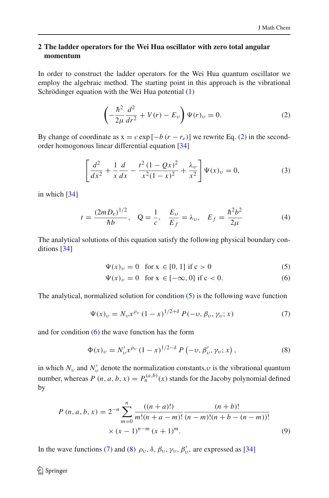## **2 The ladder operators for the Wei Hua oscillator with zero total angular momentum**

In order to construct the ladder operators for the Wei Hua quantum oscillator we employ the algebraic method. The starting point in this approach is the vibrational Schrödinger equation with the Wei Hua potential [\(1\)](#page-2-0)

$$
\left(-\frac{\hbar^2}{2\mu}\frac{d^2}{dr^2} + V(r) - E_v\right)\Psi(r)_v = 0.
$$
 (2)

<span id="page-3-0"></span>By change of coordinate as  $x = c \exp[-b(r - r_e)]$  we rewrite Eq. [\(2\)](#page-3-0) in the secondorder homogonous linear differential equation [\[34\]](#page-11-25)

$$
\left[\frac{d^2}{dx^2} + \frac{1}{x}\frac{d}{dx} - \frac{t^2(1 - Qx)^2}{x^2(1 - x)^2} + \frac{\lambda_v}{x^2}\right]\Psi(x)_v = 0,
$$
\n(3)

<span id="page-3-4"></span>in which [\[34](#page-11-25)]

$$
t = \frac{(2mD_e)^{1/2}}{\hbar b}, \quad Q = \frac{1}{c}, \quad \frac{E_v}{E_f} = \lambda_v, \quad E_f = \frac{\hbar^2 b^2}{2\mu}
$$
(4)

<span id="page-3-1"></span>The analytical solutions of this equation satisfy the following physical boundary conditions [\[34\]](#page-11-25)

$$
\Psi(x)_v = 0 \text{ for } x \in [0, 1] \text{ if } c > 0
$$
 (5)

$$
\Psi(x)_v = 0 \quad \text{for } x \in [-\infty, 0] \text{ if } c < 0. \tag{6}
$$

<span id="page-3-2"></span>The analytical, normalized solution for condition [\(5\)](#page-3-1) is the following wave function

$$
\Psi(x)_v = N_v x^{\rho_v} (1-x)^{1/2+\delta} P(-v, \beta_v, \gamma_v; x)
$$
\n(7)

<span id="page-3-3"></span>and for condition [\(6\)](#page-3-1) the wave function has the form

$$
\Phi(x)_v = N'_v x^{\rho_v} (1-x)^{1/2-\delta} P(-v, \beta'_v, \gamma_v; x), \tag{8}
$$

in which  $N_v$  and  $N'_v$  denote the normalization constants,  $v$  is the vibrational quantum number, whereas  $P(n, a, b, x) = P_n^{(a,b)}(x)$  stands for the Jacoby polynomial defined by

$$
P(n, a, b, x) = 2^{-n} \sum_{m=0}^{n} \frac{((n+a)!)}{m!(n+a-m)!} \frac{(n+b)!}{(n-m)!(n+b-(n-m))!}
$$
  
×  $(x-1)^{n-m} (x+1)^m$ . (9)

In the wave functions [\(7\)](#page-3-2) and [\(8\)](#page-3-3)  $\rho_v$ ,  $\delta$ ,  $\beta_v$ ,  $\gamma_v$ ,  $\beta'_v$ , are expressed as [\[34](#page-11-25)]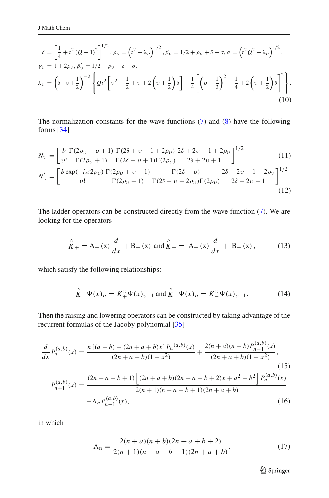$$
\delta = \left[\frac{1}{4} + t^2 (Q - 1)^2\right]^{1/2}, \rho_V = \left(t^2 - \lambda_V\right)^{1/2}, \beta_V = 1/2 + \rho_V + \delta + \sigma, \sigma = \left(t^2 Q^2 - \lambda_V\right)^{1/2},
$$
  
\n
$$
\gamma_V = 1 + 2\rho_V, \beta'_V = 1/2 + \rho_V - \delta - \sigma,
$$
  
\n
$$
\lambda_V = \left(\delta + \nu + \frac{1}{2}\right)^{-2} \left\{Qt^2 \left[\nu^2 + \frac{1}{2} + \nu + 2\left(\nu + \frac{1}{2}\right)\delta\right] - \frac{1}{4}\left[\left(\nu + \frac{1}{2}\right)^2 + \frac{1}{4} + 2\left(\nu + \frac{1}{2}\right)\delta\right]^2\right\}.
$$
\n(10)

The normalization constants for the wave functions  $(7)$  and  $(8)$  have the following forms [\[34\]](#page-11-25)

$$
N_{\nu} = \left[ \frac{b}{\nu!} \frac{\Gamma(2\rho_{\nu} + \nu + 1)}{\Gamma(2\rho_{\nu} + 1)} \frac{\Gamma(2\delta + \nu + 1 + 2\rho_{\nu})}{\Gamma(2\delta + \nu + 1)\Gamma(2\rho_{\nu})} \frac{2\delta + 2\nu + 1 + 2\rho_{\nu}}{2\delta + 2\nu + 1} \right]^{1/2}
$$
(11)

$$
N'_{\upsilon} = \left[\frac{b \exp(-i\pi 2\rho_{\upsilon})}{\upsilon!} \frac{\Gamma(2\rho_{\upsilon} + \upsilon + 1)}{\Gamma(2\rho_{\upsilon} + 1)} \frac{\Gamma(2\delta - \upsilon)}{\Gamma(2\delta - \upsilon - 2\rho_{\upsilon})\Gamma(2\rho_{\upsilon})} \frac{2\delta - 2\upsilon - 1 - 2\rho_{\upsilon}}{2\delta - 2\upsilon - 1}\right]^{1/2}.
$$
\n(12)

The ladder operators can be constructed directly from the wave function [\(7\)](#page-3-2). We are looking for the operators

$$
\stackrel{\wedge}{K}_{+}
$$
 = A<sub>+</sub> (x)  $\frac{d}{dx}$  + B<sub>+</sub> (x) and  $\stackrel{\wedge}{K}_{-}$  = A<sub>-</sub> (x)  $\frac{d}{dx}$  + B<sub>-</sub> (x), (13)

which satisfy the following relationships:

$$
\stackrel{\wedge}{K}_{+}\Psi(x)_{\nu} = K_{+}^{\nu}\Psi(x)_{\nu+1} \text{ and } \stackrel{\wedge}{K}_{-}\Psi(x)_{\nu} = K_{-}^{\nu}\Psi(x)_{\nu-1}.
$$
 (14)

Then the raising and lowering operators can be constructed by taking advantage of the recurrent formulas of the Jacoby polynomial [\[35\]](#page-11-26)

<span id="page-4-0"></span>
$$
\frac{d}{dx}P_n^{(a,b)}(x) = \frac{n[(a-b) - (2n+a+b)x]P_n^{(a,b)}(x)}{(2n+a+b)(1-x^2)} + \frac{2(n+a)(n+b)P_{n-1}^{(a,b)}(x)}{(2n+a+b)(1-x^2)},
$$
\n(15)  
\n
$$
P_{n+1}^{(a,b)}(x) = \frac{(2n+a+b+1)\left[(2n+a+b)(2n+a+b+2)x+a^2-b^2\right]P_n^{(a,b)}(x)}{2(n+1)(n+a+b+1)(2n+a+b)}
$$
\n
$$
-\Lambda_n P_{n-1}^{(a,b)}(x),
$$
\n(16)

in which

$$
\Lambda_n = \frac{2(n+a)(n+b)(2n+a+b+2)}{2(n+1)(n+a+b+1)(2n+a+b)}.\tag{17}
$$

<sup>2</sup> Springer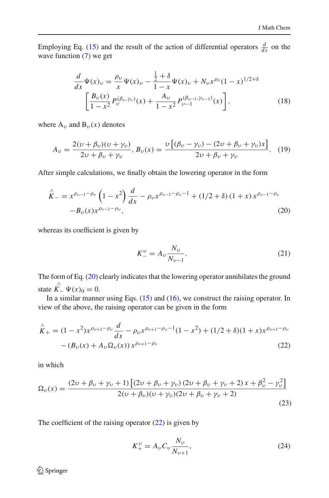Employing Eq. [\(15\)](#page-4-0) and the result of the action of differential operators  $\frac{d}{dx}$  on the wave function [\(7\)](#page-3-2) we get

$$
\frac{d}{dx}\Psi(x)_v = \frac{\rho_v}{x}\Psi(x)_v - \frac{\frac{1}{2} + \delta}{1 - x}\Psi(x)_v + N_v x^{\rho_v} (1 - x)^{1/2 + \delta}
$$
\n
$$
\left[\frac{B_v(x)}{1 - x^2} P_v^{(\beta_v, \gamma_v)}(x) + \frac{A_v}{1 - x^2} P_{v-1}^{(\beta_{v-1}, \gamma_{v-1})}(x)\right],
$$
\n(18)

where  $A_{\nu}$  and  $B_{\nu}(x)$  denotes

$$
A_v = \frac{2(\nu + \beta_v)(\nu + \gamma_v)}{2\nu + \beta_v + \gamma_v}, B_v(x) = \frac{\nu\left[(\beta_v - \gamma_v) - (2\nu + \beta_v + \gamma_v)x\right]}{2\nu + \beta_v + \gamma_v}.
$$
 (19)

<span id="page-5-0"></span>After simple calculations, we finally obtain the lowering operator in the form

$$
\hat{K}_{-} = x^{\rho_{v-1} - \rho_{v}} \left( 1 - x^{2} \right) \frac{d}{dx} - \rho_{v} x^{\rho_{v-1} - \rho_{v} - 1} + (1/2 + \delta) (1 + x) x^{\rho_{v-1} - \rho_{v}} -B_{v}(x) x^{\rho_{v-1} - \rho_{v}},
$$
\n(20)

whereas its coefficient is given by

$$
K_{-}^{\nu} = A_{\nu} \frac{N_{\nu}}{N_{\nu - 1}}.
$$
\n(21)

The form of Eq. [\(20\)](#page-5-0) clearly indicates that the lowering operator annihilates the ground state  $\hat{K}_{-} \Psi(x)_0 = 0.$ 

In a similar manner using Eqs. [\(15\)](#page-4-0) and [\(16\)](#page-4-0), we construct the raising operator. In view of the above, the raising operator can be given in the form

<span id="page-5-1"></span>
$$
\hat{K}_{+} = (1 - x^{2})x^{\rho_{v+1} - \rho_{v}} \frac{d}{dx} - \rho_{v} x^{\rho_{v+1} - \rho_{v} - 1} (1 - x^{2}) + (1/2 + \delta)(1 + x)x^{\rho_{v+1} - \rho_{v}} - (B_{v}(x) + A_{v} \Omega_{v}(x)) x^{\rho_{v+1} - \rho_{v}}
$$
\n(22)

in which

$$
\Omega_{\nu}(x) = \frac{(2\nu + \beta_{\nu} + \gamma_{\nu} + 1) \left[ (2\nu + \beta_{\nu} + \gamma_{\nu}) (2\nu + \beta_{\nu} + \gamma_{\nu} + 2) x + \beta_{\nu}^{2} - \gamma_{\nu}^{2} \right]}{2(\nu + \beta_{\nu})(\nu + \gamma_{\nu})(2\nu + \beta_{\nu} + \gamma_{\nu} + 2)}
$$
(23)

The coefficient of the raising operator  $(22)$  is given by

$$
K_{+}^{\nu} = A_{\nu} C_{\nu} \frac{N_{\nu}}{N_{\nu+1}},\tag{24}
$$

<sup>2</sup> Springer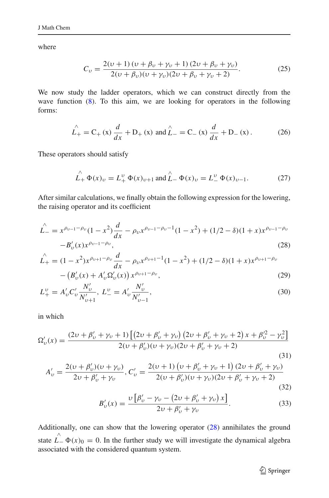where

$$
C_{\nu} = \frac{2(\nu+1)(\nu+\beta_{\nu}+\gamma_{\nu}+1)(2\nu+\beta_{\nu}+\gamma_{\nu})}{2(\nu+\beta_{\nu})(\nu+\gamma_{\nu})(2\nu+\beta_{\nu}+\gamma_{\nu}+2)}.
$$
 (25)

We now study the ladder operators, which we can construct directly from the wave function [\(8\)](#page-3-3). To this aim, we are looking for operators in the following forms:

$$
\hat{L}_{+} = C_{+}(x) \frac{d}{dx} + D_{+}(x) \text{ and } \hat{L}_{-} = C_{-}(x) \frac{d}{dx} + D_{-}(x). \tag{26}
$$

These operators should satisfy

$$
\stackrel{\wedge}{L}_{+} \Phi(x)_{v} = L_{+}^{v} \Phi(x)_{v+1} \text{ and } \stackrel{\wedge}{L}_{-} \Phi(x)_{v} = L_{-}^{v} \Phi(x)_{v-1}.
$$
 (27)

After similar calculations, we finally obtain the following expression for the lowering, the raising operator and its coefficient

<span id="page-6-0"></span>
$$
\hat{L}_{-} = x^{\rho_{\nu-1} - \rho_{\nu}} (1 - x^2) \frac{d}{dx} - \rho_{\nu} x^{\rho_{\nu-1} - \rho_{\nu} - 1} (1 - x^2) + (1/2 - \delta)(1 + x) x^{\rho_{\nu-1} - \rho_{\nu}}
$$
  
\n
$$
-B_{\nu}'(x) x^{\rho_{\nu-1} - \rho_{\nu}},
$$
\n(28)

$$
\hat{L}_{+} = (1 - x^{2})x^{\rho_{v+1} - \rho_{v}} \frac{d}{dx} - \rho_{v} x^{\rho_{v+1} - 1} (1 - x^{2}) + (1/2 - \delta)(1 + x)x^{\rho_{v+1} - \rho_{v}} - (B'_{v}(x) + A'_{v} \Omega'_{v}(x)) x^{\rho_{v+1} - \rho_{v}},
$$
\n(29)

$$
L_{+}^{\nu} = A_{\nu}' C_{\nu}' \frac{N_{\nu}'}{N_{\nu+1}'}, \ L_{-}^{\nu} = A_{\nu}' \frac{N_{\nu}'}{N_{\nu-1}'}, \tag{30}
$$

in which

$$
\Omega'_{\nu}(x) = \frac{(2\nu + \beta'_{\nu} + \gamma_{\nu} + 1) \left[ (2\nu + \beta'_{\nu} + \gamma_{\nu}) (2\nu + \beta'_{\nu} + \gamma_{\nu} + 2) x + \beta'^{2}_{\nu} - \gamma^{2}_{\nu} \right]}{2(\nu + \beta'_{\nu})(\nu + \gamma_{\nu})(2\nu + \beta'_{\nu} + \gamma_{\nu} + 2)}
$$
\n(31)

$$
A'_{\nu} = \frac{2(\nu + \beta'_{\nu})(\nu + \gamma_{\nu})}{2\nu + \beta'_{\nu} + \gamma_{\nu}}, C'_{\nu} = \frac{2(\nu + 1)(\nu + \beta'_{\nu} + \gamma_{\nu} + 1)(2\nu + \beta'_{\nu} + \gamma_{\nu})}{2(\nu + \beta'_{\nu})(\nu + \gamma_{\nu})(2\nu + \beta'_{\nu} + \gamma_{\nu} + 2)}
$$
(32)

$$
B'_{\nu}(x) = \frac{\nu \left[ \beta'_{\nu} - \gamma_{\nu} - (2\nu + \beta'_{\nu} + \gamma_{\nu}) x \right]}{2\nu + \beta'_{\nu} + \gamma_{\nu}}.
$$
 (33)

Additionally, one can show that the lowering operator [\(28\)](#page-6-0) annihilates the ground state  $\hat{L}_{-} \Phi(x)_0 = 0$ . In the further study we will investigate the dynamical algebra associated with the considered quantum system.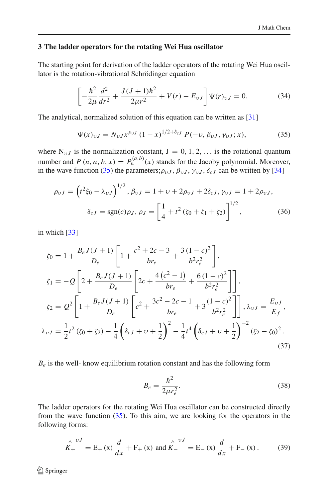#### **3 The ladder operators for the rotating Wei Hua oscillator**

The starting point for derivation of the ladder operators of the rotating Wei Hua oscillator is the rotation-vibrational Schrödinger equation

$$
\left[ -\frac{\hbar^2}{2\mu} \frac{d^2}{dr^2} + \frac{J(J+1)\hbar^2}{2\mu r^2} + V(r) - E_{\nu J} \right] \Psi(r)_{\nu J} = 0.
$$
 (34)

<span id="page-7-0"></span>The analytical, normalized solution of this equation can be written as [\[31\]](#page-11-22)

$$
\Psi(x)_{\nu J} = N_{\nu J} x^{\rho_{\nu J}} (1 - x)^{1/2 + \delta_{cJ}} P(-\nu, \beta_{\nu J}, \gamma_{\nu J}; x), \tag{35}
$$

where  $N_{\nu}$  *j* is the normalization constant,  $J = 0, 1, 2, \dots$  is the rotational quantum number and *P*  $(n, a, b, x) = P_n^{(a,b)}(x)$  stands for the Jacoby polynomial. Moreover, in the wave function [\(35\)](#page-7-0) the parameters;  $\rho_{vJ}$ ,  $\beta_{vJ}$ ,  $\gamma_{vJ}$ ,  $\delta_{cJ}$  can be written by [\[34\]](#page-11-25)

$$
\rho_{\nu J} = \left(t^2 \xi_0 - \lambda_{\nu J}\right)^{1/2}, \, \beta_{\nu J} = 1 + \nu + 2\rho_{\nu J} + 2\delta_{cJ}, \, \gamma_{\nu J} = 1 + 2\rho_{\nu J},
$$
\n
$$
\delta_{cJ} = \text{sgn}(c)\rho_J, \, \rho_J = \left[\frac{1}{4} + t^2 \left(\zeta_0 + \zeta_1 + \zeta_2\right)\right]^{1/2},\tag{36}
$$

in which [\[33](#page-11-24)]

$$
\zeta_0 = 1 + \frac{B_e J(J+1)}{D_e} \left[ 1 + \frac{c^2 + 2c - 3}{br_e} + \frac{3(1 - c)^2}{b^2 r_e^2} \right],
$$
  
\n
$$
\zeta_1 = -Q \left[ 2 + \frac{B_e J(J+1)}{D_e} \left[ 2c + \frac{4(c^2 - 1)}{br_e} + \frac{6(1 - c)^2}{b^2 r_e^2} \right] \right],
$$
  
\n
$$
\zeta_2 = Q^2 \left[ 1 + \frac{B_e J(J+1)}{D_e} \left[ c^2 + \frac{3c^2 - 2c - 1}{br_e} + 3 \frac{(1 - c)^2}{b^2 r_e^2} \right] \right], \lambda_{vJ} = \frac{E_{vJ}}{E_f},
$$
  
\n
$$
\lambda_{vJ} = \frac{1}{2} t^2 (\zeta_0 + \zeta_2) - \frac{1}{4} \left( \delta_{cJ} + v + \frac{1}{2} \right)^2 - \frac{1}{4} t^4 \left( \delta_{cJ} + v + \frac{1}{2} \right)^{-2} (\zeta_2 - \zeta_0)^2.
$$
  
\n(37)

 $B_e$  is the well- know equilibrium rotation constant and has the following form

$$
B_e = \frac{\hbar^2}{2\mu r_e^2}.\tag{38}
$$

The ladder operators for the rotating Wei Hua oscillator can be constructed directly from the wave function  $(35)$ . To this aim, we are looking for the operators in the following forms:

$$
\hat{K}_{+}^{vJ} = E_{+}(x) \frac{d}{dx} + F_{+}(x) \text{ and } \hat{K}_{-}^{vJ} = E_{-}(x) \frac{d}{dx} + F_{-}(x). \tag{39}
$$

<sup>2</sup> Springer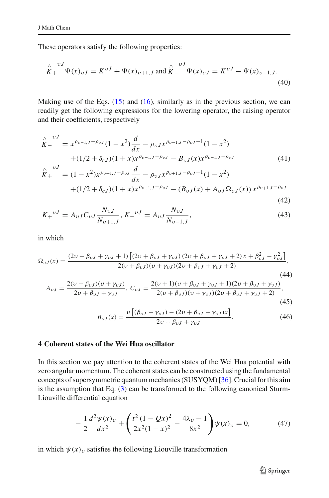These operators satisfy the following properties:

$$
\stackrel{\wedge}{K}_{+}^{vJ} \Psi(x)_{vJ} = K^{vJ} + \Psi(x)_{v+1,J} \text{ and } \stackrel{\wedge}{K}_{-}^{vJ} \Psi(x)_{vJ} = K^{vJ} - \Psi(x)_{v-1,J}.
$$
\n(40)

Making use of the Eqs.  $(15)$  and  $(16)$ , similarly as in the previous section, we can readily get the following expressions for the lowering operator, the raising operator and their coefficients, respectively

$$
\begin{split}\n\stackrel{\wedge}{K}_{-}{}^{vJ} &= x^{\rho_{v-1,J} - \rho_{vJ}} (1 - x^2) \frac{d}{dx} - \rho_{vJ} x^{\rho_{v-1,J} - \rho_{vJ} - 1} (1 - x^2) \\
&+ (1/2 + \delta_{cJ}) (1 + x) x^{\rho_{v-1,J} - \rho_{vJ}} - B_{vJ} (x) x^{\rho_{v-1,J} - \rho_{vJ}} \\
\stackrel{\wedge}{K}_{+}{}^{vJ} &= (1 - x^2) x^{\rho_{v+1,J} - \rho_{vJ}} \frac{d}{dx} - \rho_{vJ} x^{\rho_{v+1,J} - \rho_{vJ} - 1} (1 - x^2) \\
&+ (1/2 + \delta_{cJ}) (1 + x) x^{\rho_{v+1,J} - \rho_{vJ}} - (B_{vJ} (x) + A_{vJ} \Omega_{vJ} (x)) x^{\rho_{v+1,J} - \rho_{vJ}}\n\end{split} \tag{42}
$$

$$
K_{+}{}^{\nu J} = A_{\nu J} C_{\nu J} \frac{N_{\nu J}}{N_{\nu+1,J}}, K_{-}{}^{\nu J} = A_{\nu J} \frac{N_{\nu J}}{N_{\nu-1,J}},
$$
(43)

in which

$$
\Omega_{\nu J}(x) = \frac{(2\upsilon + \beta_{\nu J} + \gamma_{\nu J} + 1) \left[ (2\upsilon + \beta_{\nu J} + \gamma_{\nu J}) (2\upsilon + \beta_{\nu J} + \gamma_{\nu J} + 2) x + \beta_{\nu J}^2 - \gamma_{\nu J}^2 \right]}{2(\upsilon + \beta_{\nu J})(\upsilon + \gamma_{\nu J})(2\upsilon + \beta_{\nu J} + \gamma_{\nu J} + 2)}.
$$
\n(44)

$$
A_{vJ} = \frac{2(v + \beta_{vJ})(v + \gamma_{vJ})}{2v + \beta_{vJ} + \gamma_{vJ}}, \ C_{vJ} = \frac{2(v + 1)(v + \beta_{vJ} + \gamma_{vJ} + 1)(2v + \beta_{vJ} + \gamma_{vJ})}{2(v + \beta_{vJ})(v + \gamma_{vJ})(2v + \beta_{vJ} + \gamma_{vJ} + 2)},
$$
\n(45)

$$
B_{\nu J}(x) = \frac{\nu \left[ (\beta_{\nu J} - \gamma_{\nu J}) - (2\nu + \beta_{\nu J} + \gamma_{\nu J})x \right]}{2\nu + \beta_{\nu J} + \gamma_{\nu J}}.
$$
(46)

## **4 Coherent states of the Wei Hua oscillator**

In this section we pay attention to the coherent states of the Wei Hua potential with zero angular momentum. The coherent states can be constructed using the fundamental concepts of supersymmetric quantum mechanics (SUSYQM) [\[36](#page-11-27)]. Crucial for this aim is the assumption that Eq.  $(3)$  can be transformed to the following canonical Sturm-Liouville differential equation

$$
-\frac{1}{2}\frac{d^2\psi(x)_v}{dx^2} + \left(\frac{t^2(1-\mathcal{Q}x)^2}{2x^2(1-x)^2} - \frac{4\lambda_v+1}{8x^2}\right)\psi(x)_v = 0,\tag{47}
$$

<span id="page-8-0"></span>in which  $\psi(x)_v$  satisfies the following Liouville transformation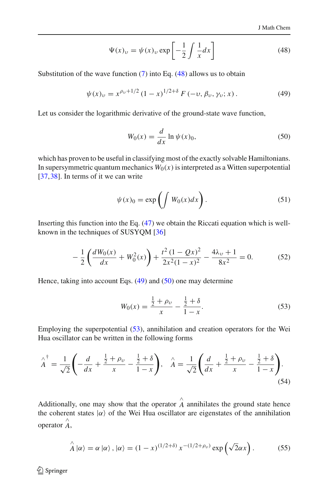$$
\Psi(x)_v = \psi(x)_v \exp\left[-\frac{1}{2} \int \frac{1}{x} dx\right]
$$
\n(48)

<span id="page-9-1"></span><span id="page-9-0"></span>Substitution of the wave function  $(7)$  into Eq.  $(48)$  allows us to obtain

$$
\psi(x)_v = x^{\rho_v + 1/2} (1 - x)^{1/2 + \delta} F(-v, \beta_v, \gamma_v; x).
$$
 (49)

<span id="page-9-2"></span>Let us consider the logarithmic derivative of the ground-state wave function,

$$
W_0(x) = \frac{d}{dx} \ln \psi(x)_0,
$$
\n(50)

which has proven to be useful in classifying most of the exactly solvable Hamiltonians. In supersymmetric quantum mechanics  $W_0(x)$  is interpreted as a Witten superpotential [\[37](#page-11-28)[,38](#page-11-29)]. In terms of it we can write

$$
\psi(x)_0 = \exp\left(\int W_0(x)dx\right). \tag{51}
$$

Inserting this function into the Eq. [\(47\)](#page-8-0) we obtain the Riccati equation which is wellknown in the techniques of SUSYQM [\[36](#page-11-27)]

$$
-\frac{1}{2}\left(\frac{dW_0(x)}{dx} + W_0^2(x)\right) + \frac{t^2(1 - Qx)^2}{2x^2(1 - x)^2} - \frac{4\lambda_v + 1}{8x^2} = 0.
$$
 (52)

Hence, taking into account Eqs. [\(49\)](#page-9-1) and [\(50\)](#page-9-2) one may determine

$$
W_0(x) = \frac{\frac{1}{2} + \rho_v}{x} - \frac{\frac{1}{2} + \delta}{1 - x}.
$$
\n(53)

<span id="page-9-3"></span>Employing the superpotential [\(53\)](#page-9-3), annihilation and creation operators for the Wei Hua oscillator can be written in the following forms

$$
\hat{A}^{\dagger} = \frac{1}{\sqrt{2}} \left( -\frac{d}{dx} + \frac{\frac{1}{2} + \rho_v}{x} - \frac{\frac{1}{2} + \delta}{1 - x} \right), \quad \hat{A} = \frac{1}{\sqrt{2}} \left( \frac{d}{dx} + \frac{\frac{1}{2} + \rho_v}{x} - \frac{\frac{1}{2} + \delta}{1 - x} \right).
$$
\n(54)

Additionally, one may show that the operator  $\hat{A}$  annihilates the ground state hence the coherent states  $|\alpha\rangle$  of the Wei Hua oscillator are eigenstates of the annihilation operator <sup>∧</sup> *A*,

$$
\stackrel{\wedge}{A}|\alpha\rangle = \alpha |\alpha\rangle, |\alpha\rangle = (1-x)^{(1/2+\delta)} x^{-(1/2+\rho_v)} \exp\left(\sqrt{2}\alpha x\right). \tag{55}
$$

 $\mathcal{D}$  Springer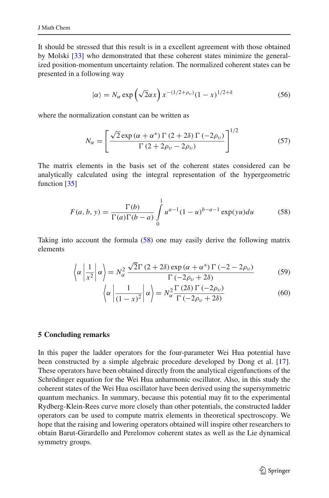It should be stressed that this result is in a excellent agreement with those obtained by Molski [\[33](#page-11-24)] who demonstrated that these coherent states minimize the generalized position-momentum uncertainty relation. The normalized coherent states can be presented in a following way

$$
|\alpha\rangle = N_{\alpha} \exp\left(\sqrt{2}\alpha x\right) x^{-(1/2+\rho_{\nu})} (1-x)^{1/2+\delta} \tag{56}
$$

where the normalization constant can be written as

$$
N_{\alpha} = \left[ \frac{\sqrt{2} \exp \left( \alpha + \alpha^{*} \right) \Gamma \left( 2 + 2 \delta \right) \Gamma \left( -2 \rho_{\upsilon} \right)}{\Gamma \left( 2 + 2 \rho_{\upsilon} - 2 \rho_{\upsilon} \right)} \right]^{1/2} \tag{57}
$$

The matrix elements in the basis set of the coherent states considered can be analytically calculated using the integral representation of the hypergeometric function [\[35\]](#page-11-26)

$$
F(a, b, y) = \frac{\Gamma(b)}{\Gamma(a)\Gamma(b-a)} \int_{0}^{1} u^{a-1} (1-u)^{b-a-1} \exp(yu) du
$$
 (58)

<span id="page-10-0"></span>Taking into account the formula [\(58\)](#page-10-0) one may easily derive the following matrix elements

$$
\left\langle \alpha \left| \frac{1}{x^2} \right| \alpha \right\rangle = N_\alpha^2 \frac{\sqrt{2} \Gamma (2 + 2\delta) \exp (\alpha + \alpha^*) \Gamma (-2 - 2\rho_v)}{\Gamma (-2\rho_v + 2\delta)}
$$
(59)

$$
\left\langle \alpha \left| \frac{1}{(1-x)^2} \right| \alpha \right\rangle = N_\alpha^2 \frac{\Gamma(2\delta) \Gamma(-2\rho_\nu)}{\Gamma(-2\rho_\nu + 2\delta)}
$$
(60)

#### **5 Concluding remarks**

In this paper the ladder operators for the four-parameter Wei Hua potential have been constructed by a simple algebraic procedure developed by Dong et al. [\[17](#page-11-9)]. These operators have been obtained directly from the analytical eigenfunctions of the Schrödinger equation for the Wei Hua anharmonic oscillator. Also, in this study the coherent states of the Wei Hua oscillator have been derived using the supersymmetric quantum mechanics. In summary, because this potential may fit to the experimental Rydberg-Klein-Rees curve more closely than other potentials, the constructed ladder operators can be used to compute matrix elements in theoretical spectroscopy. We hope that the raising and lowering operators obtained will inspire other researchers to obtain Barut-Girardello and Perelomov coherent states as well as the Lie dynamical symmetry groups.